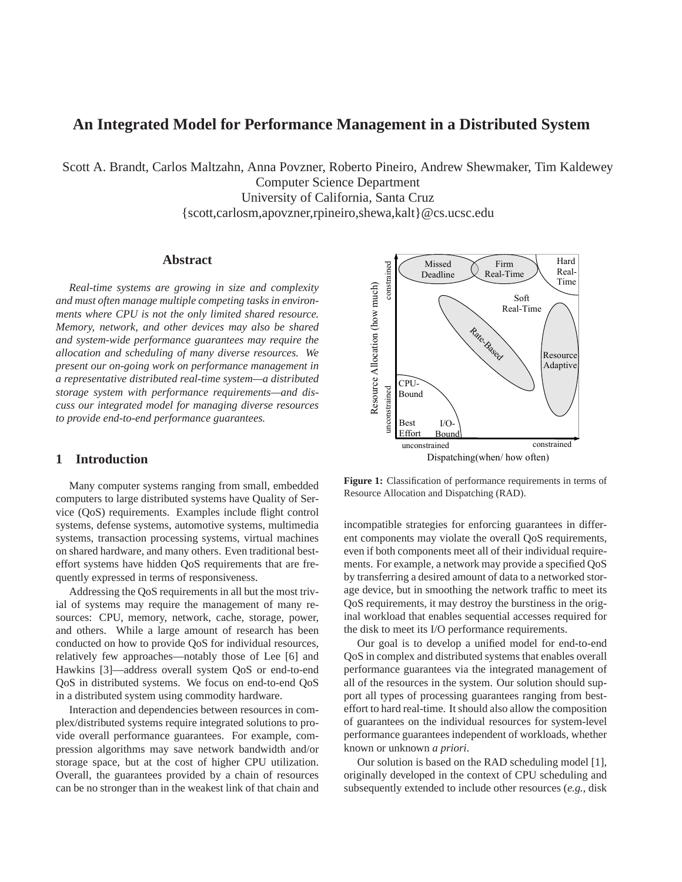# **An Integrated Model for Performance Management in a Distributed System**

Scott A. Brandt, Carlos Maltzahn, Anna Povzner, Roberto Pineiro, Andrew Shewmaker, Tim Kaldewey Computer Science Department University of California, Santa Cruz {scott,carlosm,apovzner,rpineiro,shewa,kalt}@cs.ucsc.edu

### **Abstract**

*Real-time systems are growing in size and complexity and must often manage multiple competing tasks in environments where CPU is not the only limited shared resource. Memory, network, and other devices may also be shared and system-wide performance guarantees may require the allocation and scheduling of many diverse resources. We present our on-going work on performance management in a representative distributed real-time system—a distributed storage system with performance requirements—and discuss our integrated model for managing diverse resources to provide end-to-end performance guarantees.*

# **1 Introduction**

Many computer systems ranging from small, embedded computers to large distributed systems have Quality of Service (QoS) requirements. Examples include flight control systems, defense systems, automotive systems, multimedia systems, transaction processing systems, virtual machines on shared hardware, and many others. Even traditional besteffort systems have hidden QoS requirements that are frequently expressed in terms of responsiveness.

Addressing the QoS requirements in all but the most trivial of systems may require the management of many resources: CPU, memory, network, cache, storage, power, and others. While a large amount of research has been conducted on how to provide QoS for individual resources, relatively few approaches—notably those of Lee [6] and Hawkins [3]—address overall system QoS or end-to-end QoS in distributed systems. We focus on end-to-end QoS in a distributed system using commodity hardware.

Interaction and dependencies between resources in complex/distributed systems require integrated solutions to provide overall performance guarantees. For example, compression algorithms may save network bandwidth and/or storage space, but at the cost of higher CPU utilization. Overall, the guarantees provided by a chain of resources can be no stronger than in the weakest link of that chain and



**Figure 1:** Classification of performance requirements in terms of Resource Allocation and Dispatching (RAD).

incompatible strategies for enforcing guarantees in different components may violate the overall QoS requirements, even if both components meet all of their individual requirements. For example, a network may provide a specified QoS by transferring a desired amount of data to a networked storage device, but in smoothing the network traffic to meet its QoS requirements, it may destroy the burstiness in the original workload that enables sequential accesses required for the disk to meet its I/O performance requirements.

Our goal is to develop a unified model for end-to-end QoS in complex and distributed systems that enables overall performance guarantees via the integrated management of all of the resources in the system. Our solution should support all types of processing guarantees ranging from besteffort to hard real-time. It should also allow the composition of guarantees on the individual resources for system-level performance guarantees independent of workloads, whether known or unknown *a priori*.

Our solution is based on the RAD scheduling model [1], originally developed in the context of CPU scheduling and subsequently extended to include other resources (*e.g.,* disk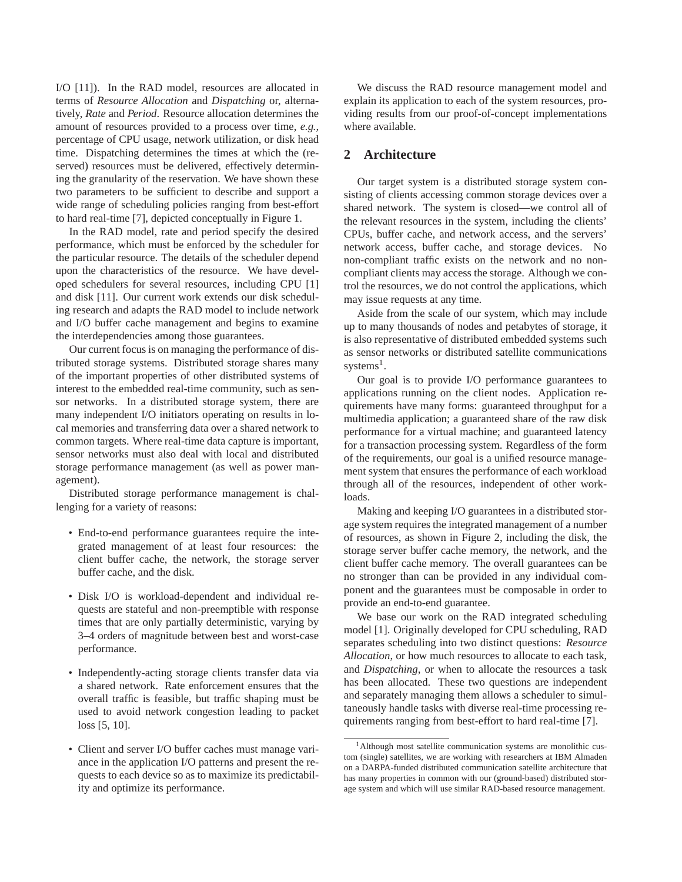I/O [11]). In the RAD model, resources are allocated in terms of *Resource Allocation* and *Dispatching* or, alternatively, *Rate* and *Period*. Resource allocation determines the amount of resources provided to a process over time, *e.g.,* percentage of CPU usage, network utilization, or disk head time. Dispatching determines the times at which the (reserved) resources must be delivered, effectively determining the granularity of the reservation. We have shown these two parameters to be sufficient to describe and support a wide range of scheduling policies ranging from best-effort to hard real-time [7], depicted conceptually in Figure 1.

In the RAD model, rate and period specify the desired performance, which must be enforced by the scheduler for the particular resource. The details of the scheduler depend upon the characteristics of the resource. We have developed schedulers for several resources, including CPU [1] and disk [11]. Our current work extends our disk scheduling research and adapts the RAD model to include network and I/O buffer cache management and begins to examine the interdependencies among those guarantees.

Our current focus is on managing the performance of distributed storage systems. Distributed storage shares many of the important properties of other distributed systems of interest to the embedded real-time community, such as sensor networks. In a distributed storage system, there are many independent I/O initiators operating on results in local memories and transferring data over a shared network to common targets. Where real-time data capture is important, sensor networks must also deal with local and distributed storage performance management (as well as power management).

Distributed storage performance management is challenging for a variety of reasons:

- End-to-end performance guarantees require the integrated management of at least four resources: the client buffer cache, the network, the storage server buffer cache, and the disk.
- Disk I/O is workload-dependent and individual requests are stateful and non-preemptible with response times that are only partially deterministic, varying by 3–4 orders of magnitude between best and worst-case performance.
- Independently-acting storage clients transfer data via a shared network. Rate enforcement ensures that the overall traffic is feasible, but traffic shaping must be used to avoid network congestion leading to packet loss [5, 10].
- Client and server I/O buffer caches must manage variance in the application I/O patterns and present the requests to each device so as to maximize its predictability and optimize its performance.

We discuss the RAD resource management model and explain its application to each of the system resources, providing results from our proof-of-concept implementations where available.

## **2 Architecture**

Our target system is a distributed storage system consisting of clients accessing common storage devices over a shared network. The system is closed—we control all of the relevant resources in the system, including the clients' CPUs, buffer cache, and network access, and the servers' network access, buffer cache, and storage devices. No non-compliant traffic exists on the network and no noncompliant clients may access the storage. Although we control the resources, we do not control the applications, which may issue requests at any time.

Aside from the scale of our system, which may include up to many thousands of nodes and petabytes of storage, it is also representative of distributed embedded systems such as sensor networks or distributed satellite communications systems<sup>1</sup>.

Our goal is to provide I/O performance guarantees to applications running on the client nodes. Application requirements have many forms: guaranteed throughput for a multimedia application; a guaranteed share of the raw disk performance for a virtual machine; and guaranteed latency for a transaction processing system. Regardless of the form of the requirements, our goal is a unified resource management system that ensures the performance of each workload through all of the resources, independent of other workloads.

Making and keeping I/O guarantees in a distributed storage system requires the integrated management of a number of resources, as shown in Figure 2, including the disk, the storage server buffer cache memory, the network, and the client buffer cache memory. The overall guarantees can be no stronger than can be provided in any individual component and the guarantees must be composable in order to provide an end-to-end guarantee.

We base our work on the RAD integrated scheduling model [1]. Originally developed for CPU scheduling, RAD separates scheduling into two distinct questions: *Resource Allocation*, or how much resources to allocate to each task, and *Dispatching*, or when to allocate the resources a task has been allocated. These two questions are independent and separately managing them allows a scheduler to simultaneously handle tasks with diverse real-time processing requirements ranging from best-effort to hard real-time [7].

<sup>&</sup>lt;sup>1</sup>Although most satellite communication systems are monolithic custom (single) satellites, we are working with researchers at IBM Almaden on a DARPA-funded distributed communication satellite architecture that has many properties in common with our (ground-based) distributed storage system and which will use similar RAD-based resource management.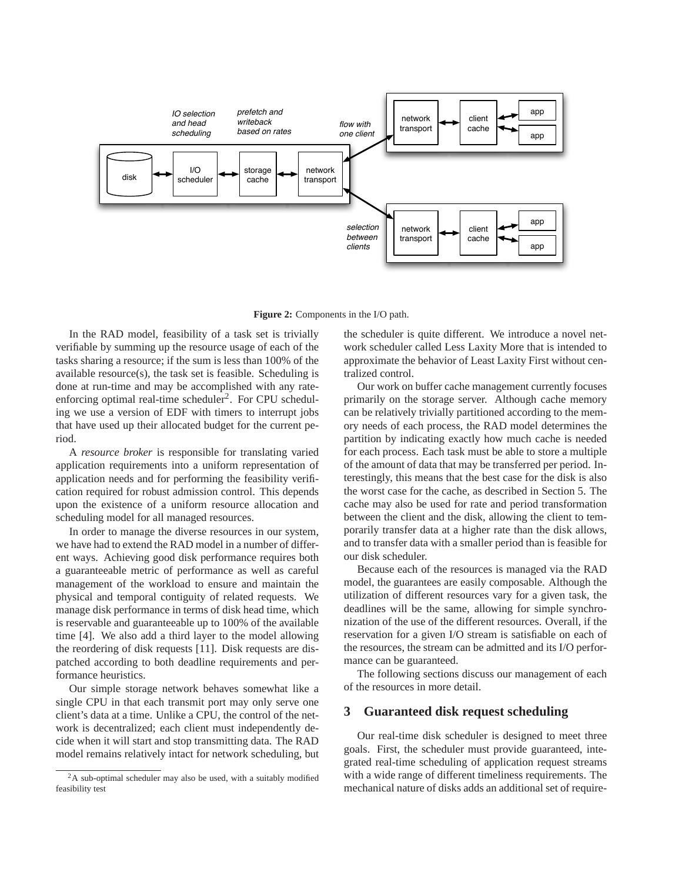

**Figure 2:** Components in the I/O path.

In the RAD model, feasibility of a task set is trivially verifiable by summing up the resource usage of each of the tasks sharing a resource; if the sum is less than 100% of the available resource(s), the task set is feasible. Scheduling is done at run-time and may be accomplished with any rateenforcing optimal real-time scheduler<sup>2</sup>. For CPU scheduling we use a version of EDF with timers to interrupt jobs that have used up their allocated budget for the current period.

A *resource broker* is responsible for translating varied application requirements into a uniform representation of application needs and for performing the feasibility verification required for robust admission control. This depends upon the existence of a uniform resource allocation and scheduling model for all managed resources.

In order to manage the diverse resources in our system, we have had to extend the RAD model in a number of different ways. Achieving good disk performance requires both a guaranteeable metric of performance as well as careful management of the workload to ensure and maintain the physical and temporal contiguity of related requests. We manage disk performance in terms of disk head time, which is reservable and guaranteeable up to 100% of the available time [4]. We also add a third layer to the model allowing the reordering of disk requests [11]. Disk requests are dispatched according to both deadline requirements and performance heuristics.

Our simple storage network behaves somewhat like a single CPU in that each transmit port may only serve one client's data at a time. Unlike a CPU, the control of the network is decentralized; each client must independently decide when it will start and stop transmitting data. The RAD model remains relatively intact for network scheduling, but the scheduler is quite different. We introduce a novel network scheduler called Less Laxity More that is intended to approximate the behavior of Least Laxity First without centralized control.

Our work on buffer cache management currently focuses primarily on the storage server. Although cache memory can be relatively trivially partitioned according to the memory needs of each process, the RAD model determines the partition by indicating exactly how much cache is needed for each process. Each task must be able to store a multiple of the amount of data that may be transferred per period. Interestingly, this means that the best case for the disk is also the worst case for the cache, as described in Section 5. The cache may also be used for rate and period transformation between the client and the disk, allowing the client to temporarily transfer data at a higher rate than the disk allows, and to transfer data with a smaller period than is feasible for our disk scheduler.

Because each of the resources is managed via the RAD model, the guarantees are easily composable. Although the utilization of different resources vary for a given task, the deadlines will be the same, allowing for simple synchronization of the use of the different resources. Overall, if the reservation for a given I/O stream is satisfiable on each of the resources, the stream can be admitted and its I/O performance can be guaranteed.

The following sections discuss our management of each of the resources in more detail.

### **3 Guaranteed disk request scheduling**

Our real-time disk scheduler is designed to meet three goals. First, the scheduler must provide guaranteed, integrated real-time scheduling of application request streams with a wide range of different timeliness requirements. The mechanical nature of disks adds an additional set of require-

<sup>2</sup>A sub-optimal scheduler may also be used, with a suitably modified feasibility test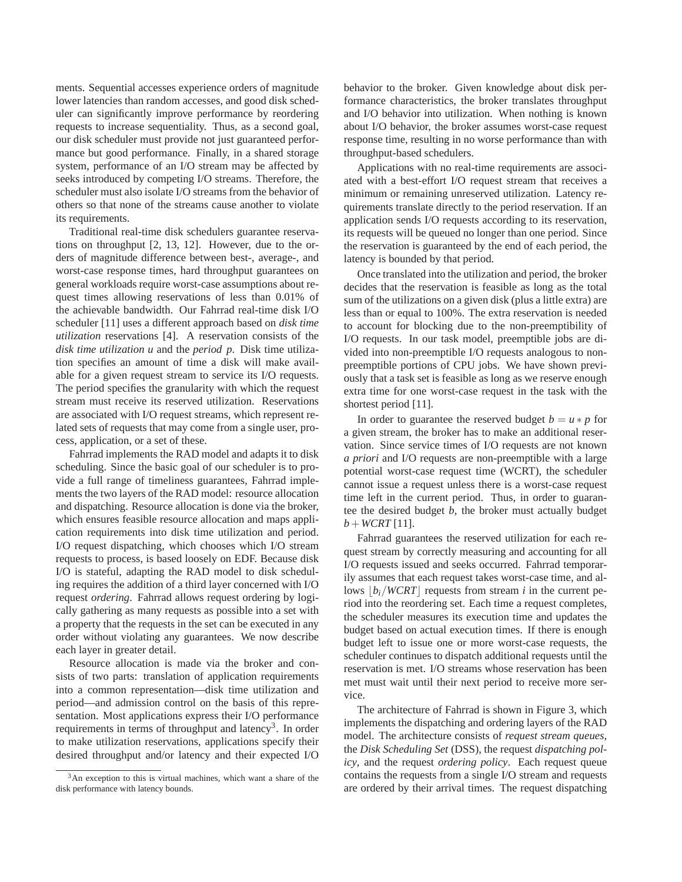ments. Sequential accesses experience orders of magnitude lower latencies than random accesses, and good disk scheduler can significantly improve performance by reordering requests to increase sequentiality. Thus, as a second goal, our disk scheduler must provide not just guaranteed performance but good performance. Finally, in a shared storage system, performance of an I/O stream may be affected by seeks introduced by competing I/O streams. Therefore, the scheduler must also isolate I/O streams from the behavior of others so that none of the streams cause another to violate its requirements.

Traditional real-time disk schedulers guarantee reservations on throughput [2, 13, 12]. However, due to the orders of magnitude difference between best-, average-, and worst-case response times, hard throughput guarantees on general workloads require worst-case assumptions about request times allowing reservations of less than 0.01% of the achievable bandwidth. Our Fahrrad real-time disk I/O scheduler [11] uses a different approach based on *disk time utilization* reservations [4]. A reservation consists of the *disk time utilization u* and the *period p*. Disk time utilization specifies an amount of time a disk will make available for a given request stream to service its I/O requests. The period specifies the granularity with which the request stream must receive its reserved utilization. Reservations are associated with I/O request streams, which represent related sets of requests that may come from a single user, process, application, or a set of these.

Fahrrad implements the RAD model and adapts it to disk scheduling. Since the basic goal of our scheduler is to provide a full range of timeliness guarantees, Fahrrad implements the two layers of the RAD model: resource allocation and dispatching. Resource allocation is done via the broker, which ensures feasible resource allocation and maps application requirements into disk time utilization and period. I/O request dispatching, which chooses which I/O stream requests to process, is based loosely on EDF. Because disk I/O is stateful, adapting the RAD model to disk scheduling requires the addition of a third layer concerned with I/O request *ordering*. Fahrrad allows request ordering by logically gathering as many requests as possible into a set with a property that the requests in the set can be executed in any order without violating any guarantees. We now describe each layer in greater detail.

Resource allocation is made via the broker and consists of two parts: translation of application requirements into a common representation—disk time utilization and period—and admission control on the basis of this representation. Most applications express their I/O performance requirements in terms of throughput and latency<sup>3</sup>. In order to make utilization reservations, applications specify their desired throughput and/or latency and their expected I/O

behavior to the broker. Given knowledge about disk performance characteristics, the broker translates throughput and I/O behavior into utilization. When nothing is known about I/O behavior, the broker assumes worst-case request response time, resulting in no worse performance than with throughput-based schedulers.

Applications with no real-time requirements are associated with a best-effort I/O request stream that receives a minimum or remaining unreserved utilization. Latency requirements translate directly to the period reservation. If an application sends I/O requests according to its reservation, its requests will be queued no longer than one period. Since the reservation is guaranteed by the end of each period, the latency is bounded by that period.

Once translated into the utilization and period, the broker decides that the reservation is feasible as long as the total sum of the utilizations on a given disk (plus a little extra) are less than or equal to 100%. The extra reservation is needed to account for blocking due to the non-preemptibility of I/O requests. In our task model, preemptible jobs are divided into non-preemptible I/O requests analogous to nonpreemptible portions of CPU jobs. We have shown previously that a task set is feasible as long as we reserve enough extra time for one worst-case request in the task with the shortest period [11].

In order to guarantee the reserved budget  $b = u * p$  for a given stream, the broker has to make an additional reservation. Since service times of I/O requests are not known *a priori* and I/O requests are non-preemptible with a large potential worst-case request time (WCRT), the scheduler cannot issue a request unless there is a worst-case request time left in the current period. Thus, in order to guarantee the desired budget *b*, the broker must actually budget  $b + WCRT$  [11].

Fahrrad guarantees the reserved utilization for each request stream by correctly measuring and accounting for all I/O requests issued and seeks occurred. Fahrrad temporarily assumes that each request takes worst-case time, and allows  $\left| \frac{b_i}{WCRT} \right|$  requests from stream *i* in the current period into the reordering set. Each time a request completes, the scheduler measures its execution time and updates the budget based on actual execution times. If there is enough budget left to issue one or more worst-case requests, the scheduler continues to dispatch additional requests until the reservation is met. I/O streams whose reservation has been met must wait until their next period to receive more service.

The architecture of Fahrrad is shown in Figure 3, which implements the dispatching and ordering layers of the RAD model. The architecture consists of *request stream queues*, the *Disk Scheduling Set* (DSS), the request *dispatching policy*, and the request *ordering policy*. Each request queue contains the requests from a single I/O stream and requests are ordered by their arrival times. The request dispatching

<sup>3</sup>An exception to this is virtual machines, which want a share of the disk performance with latency bounds.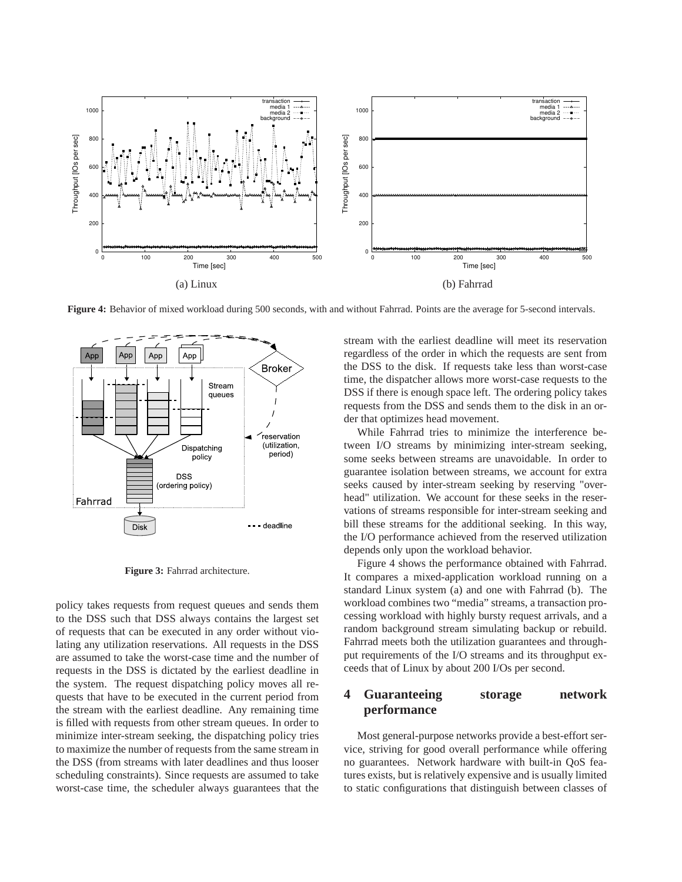

**Figure 4:** Behavior of mixed workload during 500 seconds, with and without Fahrrad. Points are the average for 5-second intervals.



**Figure 3:** Fahrrad architecture.

policy takes requests from request queues and sends them to the DSS such that DSS always contains the largest set of requests that can be executed in any order without violating any utilization reservations. All requests in the DSS are assumed to take the worst-case time and the number of requests in the DSS is dictated by the earliest deadline in the system. The request dispatching policy moves all requests that have to be executed in the current period from the stream with the earliest deadline. Any remaining time is filled with requests from other stream queues. In order to minimize inter-stream seeking, the dispatching policy tries to maximize the number of requests from the same stream in the DSS (from streams with later deadlines and thus looser scheduling constraints). Since requests are assumed to take worst-case time, the scheduler always guarantees that the

stream with the earliest deadline will meet its reservation regardless of the order in which the requests are sent from the DSS to the disk. If requests take less than worst-case time, the dispatcher allows more worst-case requests to the DSS if there is enough space left. The ordering policy takes requests from the DSS and sends them to the disk in an order that optimizes head movement.

While Fahrrad tries to minimize the interference between I/O streams by minimizing inter-stream seeking, some seeks between streams are unavoidable. In order to guarantee isolation between streams, we account for extra seeks caused by inter-stream seeking by reserving "overhead" utilization. We account for these seeks in the reservations of streams responsible for inter-stream seeking and bill these streams for the additional seeking. In this way, the I/O performance achieved from the reserved utilization depends only upon the workload behavior.

Figure 4 shows the performance obtained with Fahrrad. It compares a mixed-application workload running on a standard Linux system (a) and one with Fahrrad (b). The workload combines two "media" streams, a transaction processing workload with highly bursty request arrivals, and a random background stream simulating backup or rebuild. Fahrrad meets both the utilization guarantees and throughput requirements of the I/O streams and its throughput exceeds that of Linux by about 200 I/Os per second.

# **4 Guaranteeing storage network performance**

Most general-purpose networks provide a best-effort service, striving for good overall performance while offering no guarantees. Network hardware with built-in QoS features exists, but is relatively expensive and is usually limited to static configurations that distinguish between classes of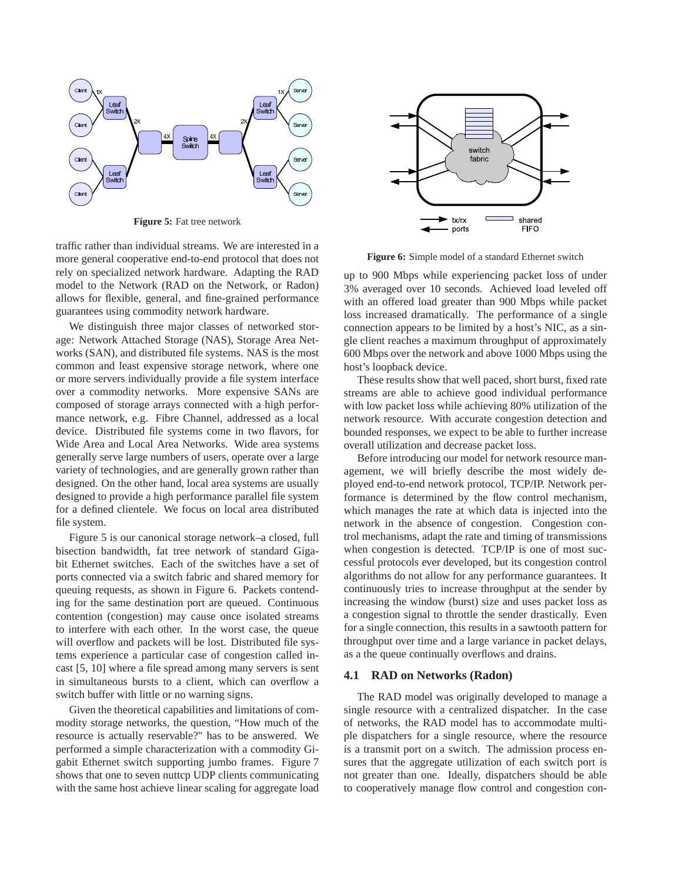

**Figure 5:** Fat tree network

traffic rather than individual streams. We are interested in a more general cooperative end-to-end protocol that does not rely on specialized network hardware. Adapting the RAD model to the Network (RAD on the Network, or Radon) allows for flexible, general, and fine-grained performance guarantees using commodity network hardware.

We distinguish three major classes of networked storage: Network Attached Storage (NAS), Storage Area Networks (SAN), and distributed file systems. NAS is the most common and least expensive storage network, where one or more servers individually provide a file system interface over a commodity networks. More expensive SANs are composed of storage arrays connected with a high performance network, e.g. Fibre Channel, addressed as a local device. Distributed file systems come in two flavors, for Wide Area and Local Area Networks. Wide area systems generally serve large numbers of users, operate over a large variety of technologies, and are generally grown rather than designed. On the other hand, local area systems are usually designed to provide a high performance parallel file system for a defined clientele. We focus on local area distributed file system.

Figure 5 is our canonical storage network–a closed, full bisection bandwidth, fat tree network of standard Gigabit Ethernet switches. Each of the switches have a set of ports connected via a switch fabric and shared memory for queuing requests, as shown in Figure 6. Packets contending for the same destination port are queued. Continuous contention (congestion) may cause once isolated streams to interfere with each other. In the worst case, the queue will overflow and packets will be lost. Distributed file systems experience a particular case of congestion called incast [5, 10] where a file spread among many servers is sent in simultaneous bursts to a client, which can overflow a switch buffer with little or no warning signs.

Given the theoretical capabilities and limitations of commodity storage networks, the question, "How much of the resource is actually reservable?" has to be answered. We performed a simple characterization with a commodity Gigabit Ethernet switch supporting jumbo frames. Figure 7 shows that one to seven nuttcp UDP clients communicating with the same host achieve linear scaling for aggregate load



**Figure 6:** Simple model of a standard Ethernet switch

up to 900 Mbps while experiencing packet loss of under 3% averaged over 10 seconds. Achieved load leveled off with an offered load greater than 900 Mbps while packet loss increased dramatically. The performance of a single connection appears to be limited by a host's NIC, as a single client reaches a maximum throughput of approximately 600 Mbps over the network and above 1000 Mbps using the host's loopback device.

These results show that well paced, short burst, fixed rate streams are able to achieve good individual performance with low packet loss while achieving 80% utilization of the network resource. With accurate congestion detection and bounded responses, we expect to be able to further increase overall utilization and decrease packet loss.

Before introducing our model for network resource management, we will briefly describe the most widely deployed end-to-end network protocol, TCP/IP. Network performance is determined by the flow control mechanism, which manages the rate at which data is injected into the network in the absence of congestion. Congestion control mechanisms, adapt the rate and timing of transmissions when congestion is detected. TCP/IP is one of most successful protocols ever developed, but its congestion control algorithms do not allow for any performance guarantees. It continuously tries to increase throughput at the sender by increasing the window (burst) size and uses packet loss as a congestion signal to throttle the sender drastically. Even for a single connection, this results in a sawtooth pattern for throughput over time and a large variance in packet delays, as a the queue continually overflows and drains.

#### **4.1 RAD on Networks (Radon)**

The RAD model was originally developed to manage a single resource with a centralized dispatcher. In the case of networks, the RAD model has to accommodate multiple dispatchers for a single resource, where the resource is a transmit port on a switch. The admission process ensures that the aggregate utilization of each switch port is not greater than one. Ideally, dispatchers should be able to cooperatively manage flow control and congestion con-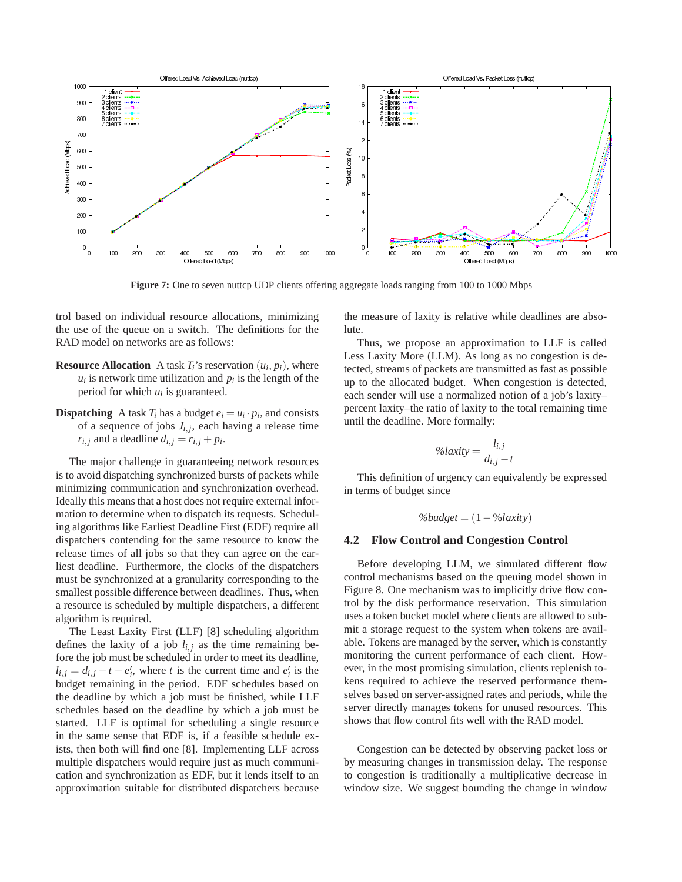

Figure 7: One to seven nuttcp UDP clients offering aggregate loads ranging from 100 to 1000 Mbps

trol based on individual resource allocations, minimizing the use of the queue on a switch. The definitions for the RAD model on networks are as follows:

- **Resource Allocation** A task  $T_i$ 's reservation  $(u_i, p_i)$ , where  $u_i$  is network time utilization and  $p_i$  is the length of the period for which  $u_i$  is guaranteed.
- **Dispatching** A task  $T_i$  has a budget  $e_i = u_i \cdot p_i$ , and consists of a sequence of jobs  $J_{i,j}$ , each having a release time  $r_{i,j}$  and a deadline  $d_{i,j} = r_{i,j} + p_i$ .

The major challenge in guaranteeing network resources is to avoid dispatching synchronized bursts of packets while minimizing communication and synchronization overhead. Ideally this means that a host does not require external information to determine when to dispatch its requests. Scheduling algorithms like Earliest Deadline First (EDF) require all dispatchers contending for the same resource to know the release times of all jobs so that they can agree on the earliest deadline. Furthermore, the clocks of the dispatchers must be synchronized at a granularity corresponding to the smallest possible difference between deadlines. Thus, when a resource is scheduled by multiple dispatchers, a different algorithm is required.

The Least Laxity First (LLF) [8] scheduling algorithm defines the laxity of a job  $l_{i,j}$  as the time remaining before the job must be scheduled in order to meet its deadline,  $l_{i,j} = d_{i,j} - t - e'_i$ , where *t* is the current time and  $e'_i$  is the budget remaining in the period. EDF schedules based on the deadline by which a job must be finished, while LLF schedules based on the deadline by which a job must be started. LLF is optimal for scheduling a single resource in the same sense that EDF is, if a feasible schedule exists, then both will find one [8]. Implementing LLF across multiple dispatchers would require just as much communication and synchronization as EDF, but it lends itself to an approximation suitable for distributed dispatchers because the measure of laxity is relative while deadlines are absolute.

Thus, we propose an approximation to LLF is called Less Laxity More (LLM). As long as no congestion is detected, streams of packets are transmitted as fast as possible up to the allocated budget. When congestion is detected, each sender will use a normalized notion of a job's laxity– percent laxity–the ratio of laxity to the total remaining time until the deadline. More formally:

$$
\%laxity = \frac{l_{i,j}}{d_{i,j} - t}
$$

This definition of urgency can equivalently be expressed in terms of budget since

$$
\%budget = (1 - \%laxity)
$$

#### **4.2 Flow Control and Congestion Control**

Before developing LLM, we simulated different flow control mechanisms based on the queuing model shown in Figure 8. One mechanism was to implicitly drive flow control by the disk performance reservation. This simulation uses a token bucket model where clients are allowed to submit a storage request to the system when tokens are available. Tokens are managed by the server, which is constantly monitoring the current performance of each client. However, in the most promising simulation, clients replenish tokens required to achieve the reserved performance themselves based on server-assigned rates and periods, while the server directly manages tokens for unused resources. This shows that flow control fits well with the RAD model.

Congestion can be detected by observing packet loss or by measuring changes in transmission delay. The response to congestion is traditionally a multiplicative decrease in window size. We suggest bounding the change in window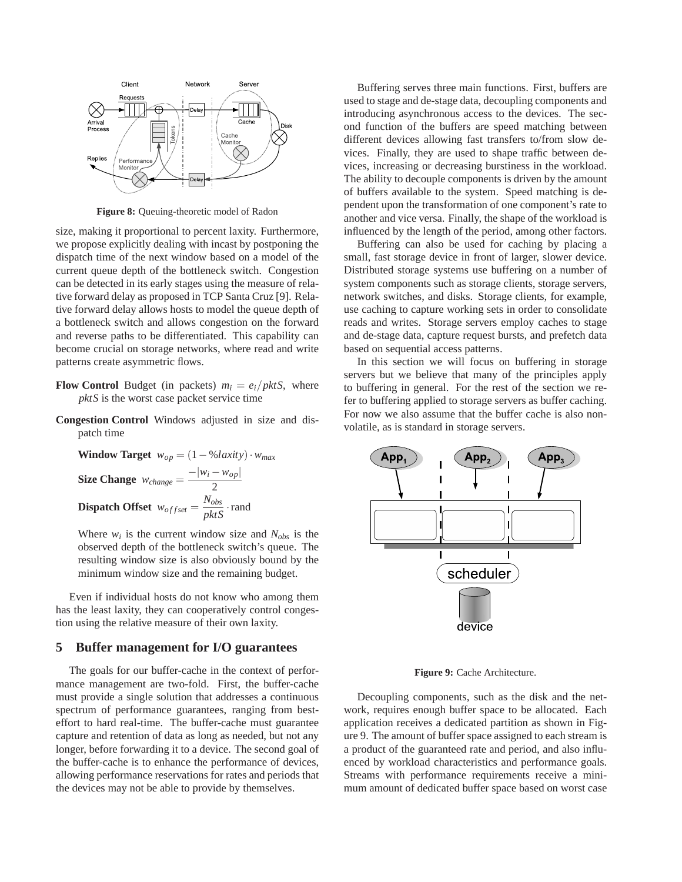

**Figure 8:** Queuing-theoretic model of Radon

size, making it proportional to percent laxity. Furthermore, we propose explicitly dealing with incast by postponing the dispatch time of the next window based on a model of the current queue depth of the bottleneck switch. Congestion can be detected in its early stages using the measure of relative forward delay as proposed in TCP Santa Cruz [9]. Relative forward delay allows hosts to model the queue depth of a bottleneck switch and allows congestion on the forward and reverse paths to be differentiated. This capability can become crucial on storage networks, where read and write patterns create asymmetric flows.

- **Flow Control** Budget (in packets)  $m_i = e_i / pktS$ , where *pktS* is the worst case packet service time
- **Congestion Control** Windows adjusted in size and dispatch time

**Window Target** 
$$
w_{op} = (1 - \frac{0}{0} \lambda \text{ axis}) \cdot w_{max}
$$
  
\n**Size Change**  $w_{change} = \frac{-|w_i - w_{op}|}{2}$   
\n**Dispatch Offset**  $w_{offset} = \frac{N_{obs}}{pktS} \cdot \text{rand}$ 

Where  $w_i$  is the current window size and  $N_{obs}$  is the observed depth of the bottleneck switch's queue. The resulting window size is also obviously bound by the minimum window size and the remaining budget.

Even if individual hosts do not know who among them has the least laxity, they can cooperatively control congestion using the relative measure of their own laxity.

#### **5 Buffer management for I/O guarantees**

The goals for our buffer-cache in the context of performance management are two-fold. First, the buffer-cache must provide a single solution that addresses a continuous spectrum of performance guarantees, ranging from besteffort to hard real-time. The buffer-cache must guarantee capture and retention of data as long as needed, but not any longer, before forwarding it to a device. The second goal of the buffer-cache is to enhance the performance of devices, allowing performance reservations for rates and periods that the devices may not be able to provide by themselves.

Buffering serves three main functions. First, buffers are used to stage and de-stage data, decoupling components and introducing asynchronous access to the devices. The second function of the buffers are speed matching between different devices allowing fast transfers to/from slow devices. Finally, they are used to shape traffic between devices, increasing or decreasing burstiness in the workload. The ability to decouple components is driven by the amount of buffers available to the system. Speed matching is dependent upon the transformation of one component's rate to another and vice versa. Finally, the shape of the workload is influenced by the length of the period, among other factors.

Buffering can also be used for caching by placing a small, fast storage device in front of larger, slower device. Distributed storage systems use buffering on a number of system components such as storage clients, storage servers, network switches, and disks. Storage clients, for example, use caching to capture working sets in order to consolidate reads and writes. Storage servers employ caches to stage and de-stage data, capture request bursts, and prefetch data based on sequential access patterns.

In this section we will focus on buffering in storage servers but we believe that many of the principles apply to buffering in general. For the rest of the section we refer to buffering applied to storage servers as buffer caching. For now we also assume that the buffer cache is also nonvolatile, as is standard in storage servers.



**Figure 9:** Cache Architecture.

Decoupling components, such as the disk and the network, requires enough buffer space to be allocated. Each application receives a dedicated partition as shown in Figure 9. The amount of buffer space assigned to each stream is a product of the guaranteed rate and period, and also influenced by workload characteristics and performance goals. Streams with performance requirements receive a minimum amount of dedicated buffer space based on worst case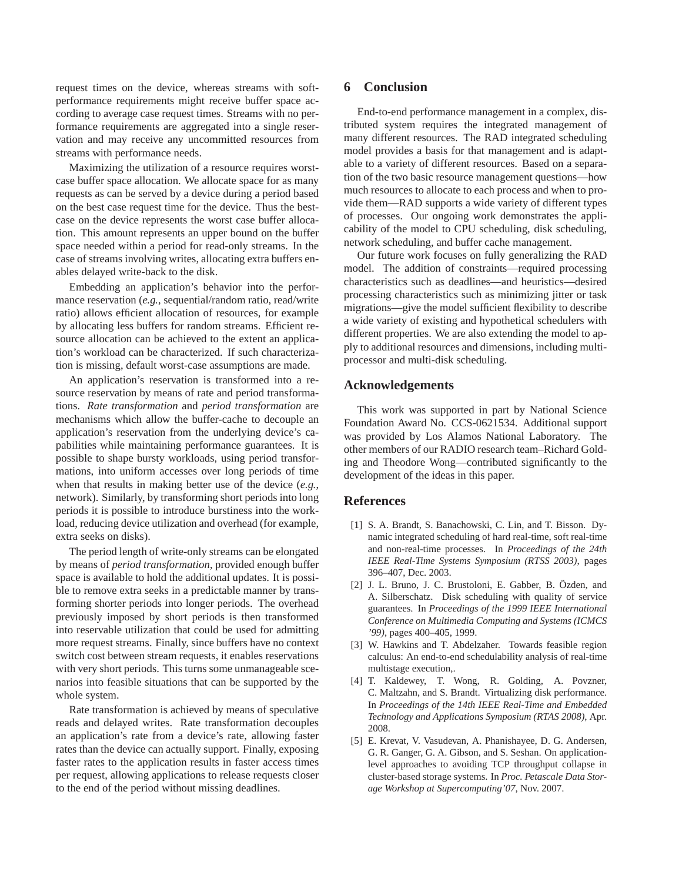request times on the device, whereas streams with softperformance requirements might receive buffer space according to average case request times. Streams with no performance requirements are aggregated into a single reservation and may receive any uncommitted resources from streams with performance needs.

Maximizing the utilization of a resource requires worstcase buffer space allocation. We allocate space for as many requests as can be served by a device during a period based on the best case request time for the device. Thus the bestcase on the device represents the worst case buffer allocation. This amount represents an upper bound on the buffer space needed within a period for read-only streams. In the case of streams involving writes, allocating extra buffers enables delayed write-back to the disk.

Embedding an application's behavior into the performance reservation (*e.g.,* sequential/random ratio, read/write ratio) allows efficient allocation of resources, for example by allocating less buffers for random streams. Efficient resource allocation can be achieved to the extent an application's workload can be characterized. If such characterization is missing, default worst-case assumptions are made.

An application's reservation is transformed into a resource reservation by means of rate and period transformations. *Rate transformation* and *period transformation* are mechanisms which allow the buffer-cache to decouple an application's reservation from the underlying device's capabilities while maintaining performance guarantees. It is possible to shape bursty workloads, using period transformations, into uniform accesses over long periods of time when that results in making better use of the device (*e.g.*, network). Similarly, by transforming short periods into long periods it is possible to introduce burstiness into the workload, reducing device utilization and overhead (for example, extra seeks on disks).

The period length of write-only streams can be elongated by means of *period transformation*, provided enough buffer space is available to hold the additional updates. It is possible to remove extra seeks in a predictable manner by transforming shorter periods into longer periods. The overhead previously imposed by short periods is then transformed into reservable utilization that could be used for admitting more request streams. Finally, since buffers have no context switch cost between stream requests, it enables reservations with very short periods. This turns some unmanageable scenarios into feasible situations that can be supported by the whole system.

Rate transformation is achieved by means of speculative reads and delayed writes. Rate transformation decouples an application's rate from a device's rate, allowing faster rates than the device can actually support. Finally, exposing faster rates to the application results in faster access times per request, allowing applications to release requests closer to the end of the period without missing deadlines.

## **6 Conclusion**

End-to-end performance management in a complex, distributed system requires the integrated management of many different resources. The RAD integrated scheduling model provides a basis for that management and is adaptable to a variety of different resources. Based on a separation of the two basic resource management questions—how much resources to allocate to each process and when to provide them—RAD supports a wide variety of different types of processes. Our ongoing work demonstrates the applicability of the model to CPU scheduling, disk scheduling, network scheduling, and buffer cache management.

Our future work focuses on fully generalizing the RAD model. The addition of constraints—required processing characteristics such as deadlines—and heuristics—desired processing characteristics such as minimizing jitter or task migrations—give the model sufficient flexibility to describe a wide variety of existing and hypothetical schedulers with different properties. We are also extending the model to apply to additional resources and dimensions, including multiprocessor and multi-disk scheduling.

### **Acknowledgements**

This work was supported in part by National Science Foundation Award No. CCS-0621534. Additional support was provided by Los Alamos National Laboratory. The other members of our RADIO research team–Richard Golding and Theodore Wong—contributed significantly to the development of the ideas in this paper.

### **References**

- [1] S. A. Brandt, S. Banachowski, C. Lin, and T. Bisson. Dynamic integrated scheduling of hard real-time, soft real-time and non-real-time processes. In *Proceedings of the 24th IEEE Real-Time Systems Symposium (RTSS 2003)*, pages 396–407, Dec. 2003.
- [2] J. L. Bruno, J. C. Brustoloni, E. Gabber, B. Özden, and A. Silberschatz. Disk scheduling with quality of service guarantees. In *Proceedings of the 1999 IEEE International Conference on Multimedia Computing and Systems (ICMCS '99)*, pages 400–405, 1999.
- [3] W. Hawkins and T. Abdelzaher. Towards feasible region calculus: An end-to-end schedulability analysis of real-time multistage execution,.
- [4] T. Kaldewey, T. Wong, R. Golding, A. Povzner, C. Maltzahn, and S. Brandt. Virtualizing disk performance. In *Proceedings of the 14th IEEE Real-Time and Embedded Technology and Applications Symposium (RTAS 2008)*, Apr. 2008.
- [5] E. Krevat, V. Vasudevan, A. Phanishayee, D. G. Andersen, G. R. Ganger, G. A. Gibson, and S. Seshan. On applicationlevel approaches to avoiding TCP throughput collapse in cluster-based storage systems. In *Proc. Petascale Data Storage Workshop at Supercomputing'07*, Nov. 2007.